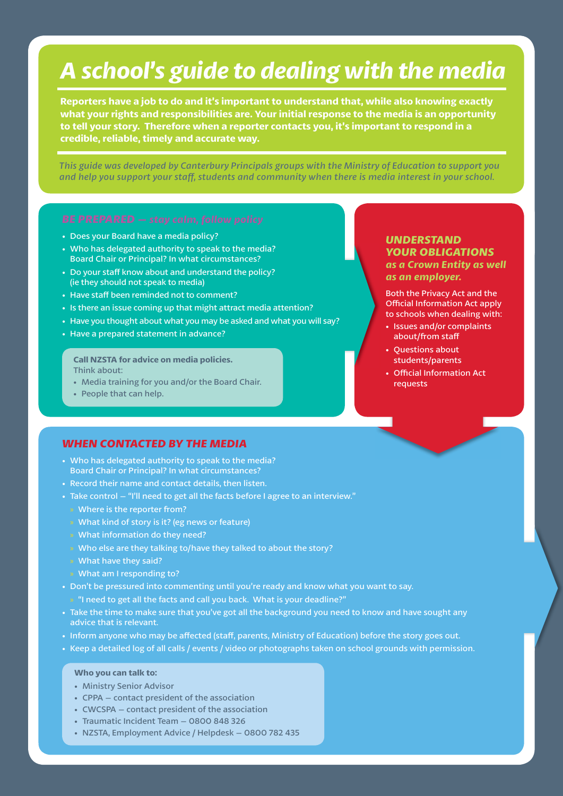# *A school's guide to dealing with the media*

**Reporters have a job to do and it's important to understand that, while also knowing exactly what your rights and responsibilities are. Your initial response to the media is an opportunity to tell your story. Therefore when a reporter contacts you, it's important to respond in a credible, reliable, timely and accurate way.**

*This guide was developed by Canterbury Principals groups with the Ministry of Education to support you and help you support your staff , students and community when there is media interest in your school.*

- Does your Board have a media policy?
- Who has delegated authority to speak to the media? Board Chair or Principal? In what circumstances?
- Do your staff know about and understand the policy? (ie they should not speak to media)
- Have staff been reminded not to comment?
- Is there an issue coming up that might attract media attention?
- Have you thought about what you may be asked and what you will say?
- Have a prepared statement in advance?

**Call NZSTA for advice on media policies.** Think about:

- Media training for you and/or the Board Chair.
- People that can help.

### *WHEN CONTACTED BY THE MEDIA*

- Who has delegated authority to speak to the media? Board Chair or Principal? In what circumstances?
- Record their name and contact details, then listen.
- Take control "I'll need to get all the facts before I agree to an interview."
- $\bullet$  Where is the reporter from?
- » What kind of story is it? (eg news or feature)
- » What information do they need?
- » Who else are they talking to/have they talked to about the story?
- » What have they said?
- » What am I responding to?
- Don't be pressured into commenting until you're ready and know what you want to say. » "I need to get all the facts and call you back. What is your deadline?"
- Take the time to make sure that you've got all the background you need to know and have sought any advice that is relevant.
- Inform anyone who may be affected (staff, parents, Ministry of Education) before the story goes out.
- Keep a detailed log of all calls / events / video or photographs taken on school grounds with permission.

#### **Who you can talk to:**

- Ministry Senior Advisor
- CPPA contact president of the association
- CWCSPA contact president of the association
- Traumatic Incident Team 0800 848 326
- NZSTA, Employment Advice / Helpdesk 0800 782 435

### *UNDERSTAND YOUR OBLIGATIONS as a Crown Entity as well as an employer.*

Both the Privacy Act and the **Official Information Act apply** to schools when dealing with:

- Issues and/or complaints about/from staff
- Questions about students/parents
- **Official Information Act** requests